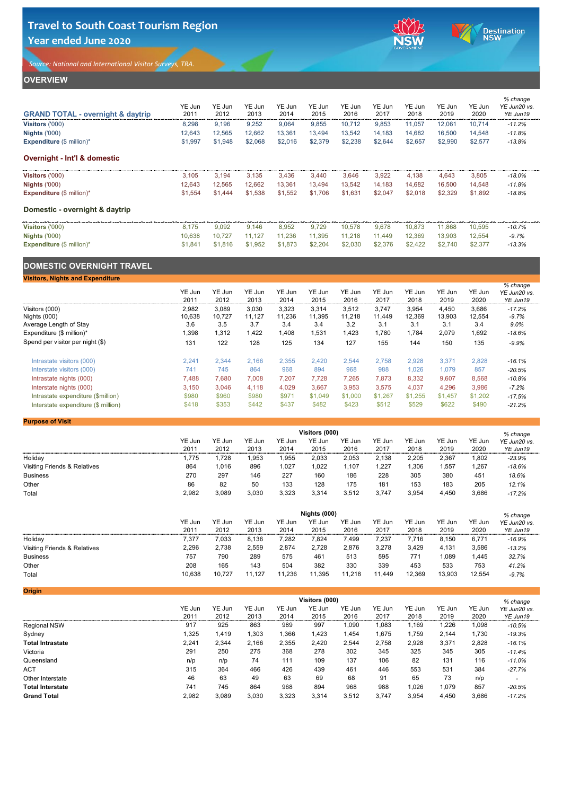### **OVERVIEW**

| <b>GRAND TOTAL - overnight &amp; daytrip</b> | YE Jun<br>2011 | YE Jun<br>2012 | YE Jun<br>2013 | YE Jun<br>2014 | YE Jun<br>2015 | YE Jun<br>2016 | YE Jun<br>2017 | YE Jun<br>2018 | YE Jun<br>2019 | YE Jun<br>2020 | % change<br>YE Jun20 vs.<br>YE Jun19 |
|----------------------------------------------|----------------|----------------|----------------|----------------|----------------|----------------|----------------|----------------|----------------|----------------|--------------------------------------|
| Visitors ('000)                              | 8,298          | 9,196          | 9,252          | 9,064          | 9,855          | 10,712         | 9,853          | 11,057         | 12,061         | 10,714         | $-11.2%$                             |
| <b>Nights ('000)</b>                         | 12,643         | 12,565         | 12,662         | 13,361         | 13,494         | 13,542         | 14,183         | 14,682         | 16,500         | 14,548         | $-11.8%$                             |
| <b>Expenditure</b> $(\$ \text{ million})^*$  | \$1,997        | \$1,948        | \$2,068        | \$2,016        | \$2,379        | \$2,238        | \$2,644        | \$2,657        | \$2,990        | \$2,577        | $-13.8%$                             |
| <b>Overnight - Int'l &amp; domestic</b>      |                |                |                |                |                |                |                |                |                |                |                                      |
| <b>Visitors ('000)</b>                       | 3,105          | 3,194          | 3,135          | 3,436          | 3,440          | 3,646          | 3,922          | 4,138          | 4,643          | 3,805          | $-18.0\%$                            |
| <b>Nights ('000)</b>                         | 12,643         | 12,565         | 12,662         | 13,361         | 13,494         | 13,542         | 14,183         | 14,682         | 16,500         | 14,548         | $-11.8%$                             |
| <b>Expenditure</b> $(\$ \text{ million})^*$  | \$1,554        | \$1,444        | \$1,538        | \$1,552        | \$1,706        | \$1,631        | \$2,047        | \$2,018        | \$2,329        | \$1,892        | $-18.8%$                             |
| Domestic - overnight & daytrip               |                |                |                |                |                |                |                |                |                |                |                                      |
| <b>Visitors ('000)</b>                       | 8,175          | 9,092          | 9,146          | 8,952          | 9,729          | 10,578         | 9,678          | 10,873         | 11,868         | 10,595         | $-10.7%$                             |
| <b>Nights ('000)</b>                         | 10,638         | 10,727         | 11,127         | 11,236         | 11,395         | 11,218         | 11,449         | 12,369         | 13,903         | 12,554         | $-9.7%$                              |
| <b>Expenditure</b> $(\$ \text{ million})^*$  | \$1,841        | \$1,816        | \$1,952        | \$1,873        | \$2,204        | \$2,030        | \$2,376        | \$2,422        | \$2,740        | \$2,377        | $-13.3%$                             |
| <b>DOMESTIC OVERNIGHT TRAVEL</b>             |                |                |                |                |                |                |                |                |                |                |                                      |
| <b>Visitors, Nights and Expenditure</b>      |                |                |                |                |                |                |                |                |                |                |                                      |
|                                              | YE Jun<br>2011 | YE Jun<br>2012 | YE Jun<br>2013 | YE Jun<br>2014 | YE Jun<br>2015 | YE Jun<br>2016 | YE Jun<br>2017 | YE Jun<br>2018 | YE Jun<br>2019 | YE Jun<br>2020 | % change<br>YE Jun20 vs.<br>YE Jun19 |

Visitors (000) 2,982 3,089 3,030 3,323 3,314 3,512 3,747 3,954 4,450 3,686 *-17.2%*

Nights (000) 10,638 10,727 11,127 11,236 11,395 11,218 11,449 12,369 13,903 12,554 *-9.7%* Average Length of Stay 3.6 3.5 3.7 3.4 3.4 3.2 3.1 3.1 3.1 3.4 *9.0%*

| Expenditure $(\$$ million)*         | ,398  | 1,312 | ,422  | .408  | ,531    | ,423    | 780.    | . 784. ، | 2,079   | ,692    | $-18.6%$ |
|-------------------------------------|-------|-------|-------|-------|---------|---------|---------|----------|---------|---------|----------|
| Spend per visitor per night (\$)    | 131   | 122   | 128   | 125   | 134     | 127     | 155     | 144      | 150     | 135     | $-9.9%$  |
| Intrastate visitors (000)           | 2,241 | 2,344 | 2,166 | 2,355 | 2,420   | 2,544   | 2,758   | 2,928    | 3,371   | 2,828   | $-16.1%$ |
| Interstate visitors (000)           | 741   | 745   | 864   | 968   | 894     | 968     | 988     | 1,026    | 1,079   | 857     | $-20.5%$ |
| Intrastate nights (000)             | 7,488 | 080,  | 800,7 | 7,207 | 7,728   | 7,265   | 7,873   | 8,332    | 9,607   | 8,568   | $-10.8%$ |
| Interstate nights (000)             | 3,150 | 3,046 | 4,118 | 4,029 | 3,667   | 3,953   | 3,575   | 4,037    | 4,296   | 3,986   | $-7.2%$  |
| Intrastate expenditure (\$million)  | \$980 | \$960 | \$980 | \$971 | \$1,049 | \$1,000 | \$1,267 | \$1,255  | \$1,457 | \$1,202 | $-17.5%$ |
| Interstate expenditure (\$ million) | \$418 | \$353 | \$442 | \$437 | \$482   | \$423   | \$512   | \$529    | \$622   | \$490   | $-21.2%$ |

| <b>Purpose of Visit</b> |  |
|-------------------------|--|
|-------------------------|--|

|                                         |        |               |        |        | Visitors (000) |        |        |        |        |        | % change     |
|-----------------------------------------|--------|---------------|--------|--------|----------------|--------|--------|--------|--------|--------|--------------|
|                                         | YE Jun | <b>YE Jun</b> | YE Jun | YE Jun | YE Jun         | YE Jun | YE Jun | YE Jun | YE Jun | YE Jun | YE Jun20 vs. |
|                                         | 2011   | 2012          | 2013   | 2014   | 2015           | 2016   | 2017   | 2018   | 2019   | 2020   | YE Jun19     |
| Holiday                                 | 1,775  | ,728          | ,953   | ,955   | 2,033          | 2,053  | 2,138  | 2,205  | 2,367  | 1,802  | $-23.9%$     |
| <b>Visiting Friends &amp; Relatives</b> | 864    | 1,016         | 896    | ,027   | .022           | ,107   | 1,227  | ,306   | .557   | 1,267  | $-18.6%$     |
| <b>Business</b>                         | 270    | 297           | 146    | 227    | 160            | 186    | 228    | 305    | 380    | 451    | 18.6%        |
| Other                                   | 86     | 82            | 50     | 133    | 128            | 175    | 181    | 153    | 183    | 205    | 12.1%        |
| <b>Total</b>                            | 2,982  | 3,089         | 3,030  | 3,323  | 3,314          | 3,512  | 3,747  | 3,954  | 4,450  | 3,686  | $-17.2%$     |

|                                         |        |        |        |                  | <b>Nights (000)</b> |        |        |        |        |        | % change     |
|-----------------------------------------|--------|--------|--------|------------------|---------------------|--------|--------|--------|--------|--------|--------------|
|                                         | YE Jun | YE Jun | YE Jun | YE Jun           | YE Jun              | YE Jun | YE Jun | YE Jun | YE Jun | YE Jun | YE Jun20 vs. |
|                                         | 2011   | 2012   | 2013   | 2014             | 2015                | 2016   | 2017   | 2018   | 2019   | 2020   | YE Jun19     |
| Holiday                                 | 7,377  | 7,033  | 8,136  | $^{\prime}$ ,282 | 7,824               | .499   | 7,237  | 7,716  | 8,150  | 6,771  | $-16.9%$     |
| <b>Visiting Friends &amp; Relatives</b> | 2,296  | 2,738  | 2,559  | 2,874            | 2,728               | 2,876  | 3,278  | 3,429  | 4,131  | 3,586  | $-13.2%$     |
| <b>Business</b>                         | 757    | 790    | 289    | 575              | 461                 | 513    | 595    | 771    | 089    | 1,445  | 32.7%        |
| Other                                   | 208    | 165    | 143    | 504              | 382                 | 330    | 339    | 453    | 533    | 753    | 41.2%        |
| Total                                   | 10,638 | 10,727 | 11,127 | 11,236           | 11,395              | 11,218 | 11,449 | 12,369 | 13,903 | 12,554 | $-9.7%$      |

| Origin                  |               |               |        |        |                |               |        |               |        |        |              |
|-------------------------|---------------|---------------|--------|--------|----------------|---------------|--------|---------------|--------|--------|--------------|
|                         |               |               |        |        | Visitors (000) |               |        |               |        |        | % change     |
|                         | <b>YE Jun</b> | <b>YE Jun</b> | YE Jun | YE Jun | <b>YE Jun</b>  | <b>YE Jun</b> | YE Jun | <b>YE Jun</b> | YE Jun | YE Jun | YE Jun20 vs. |
|                         | 2011          | 2012          | 2013   | 2014   | 2015           | 2016          | 2017   | 2018          | 2019   | 2020   | YE Jun19     |
| <b>Regional NSW</b>     | 917           | 925           | 863    | 989    | 997            | ,090          | 1,083  | .169          | 1,226  | 1,098  | $-10.5%$     |
| Sydney                  | 325           | 1,419         | 1,303  | 1,366  | 1,423          | ,454          | 1,675  | l,759         | 2,144  | 1,730  | $-19.3%$     |
| <b>Total Intrastate</b> | 2,241         | 2,344         | 2,166  | 2,355  | 2,420          | 2,544         | 2,758  | 2,928         | 3,371  | 2,828  | $-16.1%$     |
| Victoria                | 291           | 250           | 275    | 368    | 278            | 302           | 345    | 325           | 345    | 305    | $-11.4%$     |
| Queensland              | n/p           | n/p           | 74     | 111    | 109            | 137           | 106    | 82            | 131    | 116    | $-11.0%$     |
| <b>ACT</b>              | 315           | 364           | 466    | 426    | 439            | 461           | 446    | 553           | 531    | 384    | $-27.7%$     |
| Other Interstate        | 46            | 63            | 49     | 63     | 69             | 68            | 91     | 65            | 73     | n/p    |              |
| <b>Total Interstate</b> | 741           | 745           | 864    | 968    | 894            | 968           | 988    | 1,026         | 1,079  | 857    | $-20.5%$     |
| <b>Grand Total</b>      | 2,982         | 3,089         | 3,030  | 3,323  | 3,314          | 3,512         | 3,747  | 3,954         | 4,450  | 3,686  | $-17.2%$     |

# **Travel to South Coast Tourism Region Year ended June 2020**



Destination<br>NSW

*Source: National and International Visitor Surveys, TRA.*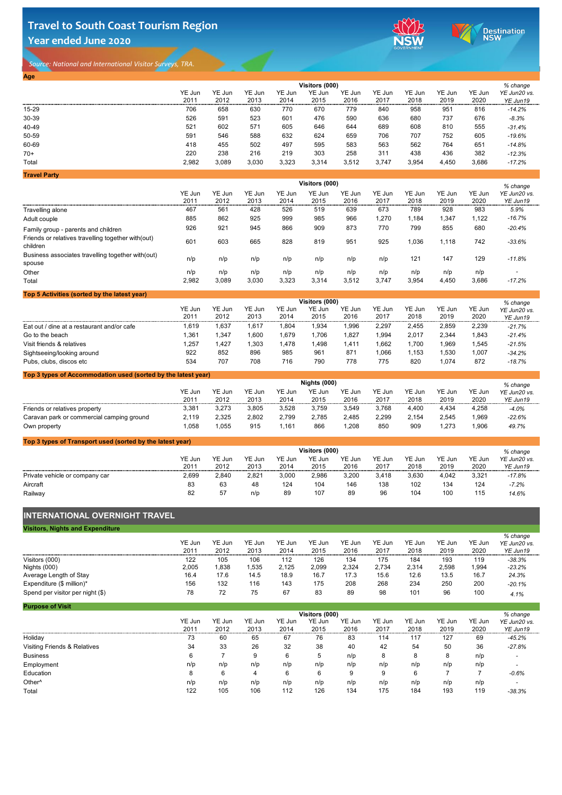# **Travel to South Coast Tourism Region Year ended June 2020**



Destination<br>NSW

*Source: National and International Visitor Surveys, TRA.* 

| Go to the beach            | ,36' | ,347 | ,600 | 1,679 | ,706 | ,827 | ,994 | 2,017 | 2,344 | ,843 | $-21.4%$ |
|----------------------------|------|------|------|-------|------|------|------|-------|-------|------|----------|
| Visit friends & relatives  | .257 | ,427 | ,303 | 1,478 | ,498 | ,411 | .662 | ,700  | ,969  | ,545 | $-21.5%$ |
| Sightseeing/looking around | 922  | 852  | 896  | 985   | 961  | 871  | ,066 | ,153  | ,530  | ,007 | $-34.2%$ |
| Pubs, clubs, discos etc    | 534  | 707  | 708  | 716   | 790  | 778  | 775  | 820   | ,074  | 872  | $-18.7%$ |

### **Top 3 types of Accommodation used (sorted by the latest year)**

| <b>Age</b>          |        |        |        |        |                |        |        |        |        |        |              |
|---------------------|--------|--------|--------|--------|----------------|--------|--------|--------|--------|--------|--------------|
|                     |        |        |        |        | Visitors (000) |        |        |        |        |        | % change     |
|                     | YE Jun | YE Jun | YE Jun | YE Jun | YE Jun         | YE Jun | YE Jun | YE Jun | YE Jun | YE Jun | YE Jun20 vs. |
|                     | 2011   | 2012   | 2013   | 2014   | 2015           | 2016   | 2017   | 2018   | 2019   | 2020   | YE Jun19     |
| $15 - 29$           | 706    | 658    | 630    | 770    | 670            | 779    | 840    | 958    | 951    | 816    | $-14.2%$     |
| 30-39               | 526    | 591    | 523    | 601    | 476            | 590    | 636    | 680    | 737    | 676    | $-8.3%$      |
| 40-49               | 521    | 602    | 571    | 605    | 646            | 644    | 689    | 608    | 810    | 555    | $-31.4%$     |
| 50-59               | 591    | 546    | 588    | 632    | 624            | 659    | 706    | 707    | 752    | 605    | $-19.6%$     |
| 60-69               | 418    | 455    | 502    | 497    | 595            | 583    | 563    | 562    | 764    | 651    | $-14.8%$     |
| $70+$               | 220    | 238    | 216    | 219    | 303            | 258    | 311    | 438    | 436    | 382    | $-12.3%$     |
| Total               | 2,982  | 3,089  | 3,030  | 3,323  | 3,314          | 3,512  | 3,747  | 3,954  | 4,450  | 3,686  | $-17.2%$     |
| <b>Travel Party</b> |        |        |        |        |                |        |        |        |        |        |              |
|                     |        |        |        |        | Visitors (000) |        |        |        |        |        | $%$ change   |

|                                                                | YE Jun | <b>YE Jun</b> | YE Jun | YE Jun | <b>YE Jun</b>  | YE Jun | YE Jun | <b>YE Jun</b> | YE Jun | YE Jun | YE Jun20 vs. |
|----------------------------------------------------------------|--------|---------------|--------|--------|----------------|--------|--------|---------------|--------|--------|--------------|
|                                                                | 2011   | 2012          | 2013   | 2014   | 2015           | 2016   | 2017   | 2018          | 2019   | 2020   | YE Jun19     |
| Travelling alone                                               | 467    | 561           | 428    | 526    | 519            | 639    | 673    | 789           | 928    | 983    | 5.9%         |
| Adult couple                                                   | 885    | 862           | 925    | 999    | 985            | 966    | 1,270  | 1,184         | 1,347  | 1,122  | $-16.7%$     |
| Family group - parents and children                            | 926    | 921           | 945    | 866    | 909            | 873    | 770    | 799           | 855    | 680    | $-20.4%$     |
| Friends or relatives travelling together with(out)<br>children | 601    | 603           | 665    | 828    | 819            | 951    | 925    | 1,036         | 1,118  | 742    | $-33.6%$     |
| Business associates travelling together with (out)<br>spouse   | n/p    | n/p           | n/p    | n/p    | n/p            | n/p    | n/p    | 121           | 147    | 129    | $-11.8%$     |
| Other                                                          | n/p    | n/p           | n/p    | n/p    | n/p            | n/p    | n/p    | n/p           | n/p    | n/p    |              |
| <b>Total</b>                                                   | 2,982  | 3,089         | 3,030  | 3,323  | 3,314          | 3,512  | 3,747  | 3,954         | 4,450  | 3,686  | $-17.2%$     |
| Top 5 Activities (sorted by the latest year)                   |        |               |        |        |                |        |        |               |        |        |              |
|                                                                |        |               |        |        | Visitors (000) |        |        |               |        |        | % change     |
|                                                                | YE Jun | YE Jun        | YE Jun | YE Jun | YE Jun         | YE Jun | YE Jun | YE Jun        | YE Jun | YE Jun | YE Jun20 vs. |
|                                                                | 2011   | 2012          | 2013   | 2014   | 2015           | 2016   | 2017   | 2018          | 2019   | 2020   | YE Jun19     |
| Eat out / dine at a restaurant and/or cafe                     | 1,619  | 1,637         | 1,617  | 1,804  | 1,934          | 1,996  | 2,297  | 2,455         | 2,859  | 2,239  | $-21.7%$     |

### **Top 3 types of Transport used (sorted by the latest year)**

### **INTERNATIONAL OVERNIGHT TRAVEL**

|                                           |        |        |        |        | Nights (000) |        |        |        |        |        | $%$ change   |
|-------------------------------------------|--------|--------|--------|--------|--------------|--------|--------|--------|--------|--------|--------------|
|                                           | YE Jun | YE Jun | YE Jun | YE Jun | YE Jun       | YE Jun | YE Jun | YE Jun | YE Jun | YE Jun | YE Jun20 vs. |
|                                           | 2011   | 2012   | 2013   | 2014   | 2015         | 2016   | 2017   | 2018   | 2019   | 2020   | YE Jun19     |
| Friends or relatives property             | 3,381  | 3,273  | 3,805  | 3,528  | 3,759        | 3,549  | 3,768  | 4,400  | 4,434  | 4,258  | $-4.0%$      |
| Caravan park or commercial camping ground | 2,119  | 2,325  | 2,802  | 2,799  | 2,785        | 2,485  | 2,299  | 2,154  | 2,545  | 1,969  | $-22.6%$     |
| Own property                              | ,058   | ,055   | 915    | .161   | 866          | ,208   | 850    | 909    | ,273   | 1,906  | 49.7%        |

| <b>Visitors, Nights and Expenditure</b> |        |        |        |        |        |        |        |        |        |        |                          |
|-----------------------------------------|--------|--------|--------|--------|--------|--------|--------|--------|--------|--------|--------------------------|
|                                         | YE Jun | YE Jun | YE Jun | YE Jun | YE Jun | YE Jun | YE Jun | YE Jun | YE Jun | YE Jun | % change                 |
|                                         | 2011   | 2012   | 2013   | 2014   | 2015   | 2016   | 2017   | 2018   | 2019   | 2020   | YE Jun20 vs.<br>YE Jun19 |
| Visitors (000)                          | 122    | 105    | 106    | 112    | 126    | 134    | 175    | 184    | 193    | 119    | $-38.3%$                 |
| Nights (000)                            | 2,005  | ,838   | ,535   | 2,125  | 2,099  | 2,324  | 2,734  | 2,314  | 2,598  | 1,994  | $-23.2%$                 |
| Average Length of Stay                  | 16.4   | 17.6   | 14.5   | 18.9   | 16.7   | 17.3   | 15.6   | 12.6   | 13.5   | 16.7   | 24.3%                    |
| Expenditure (\$ million)*               | 156    | 132    | 116    | 143    | 175    | 208    | 268    | 234    | 250    | 200    | $-20.1%$                 |
| Spend per visitor per night (\$)        | 78     | 72     | 75     | 67     | 83     | 89     | 98     | 101    | 96     | 100    | 4.1%                     |

|                                |               |        |        |        | Visitors (000) |        |        |        |        |        | % change     |
|--------------------------------|---------------|--------|--------|--------|----------------|--------|--------|--------|--------|--------|--------------|
|                                | <b>YE Jun</b> | YE Jun | YE Jun | YE Jun | YE Jun         | YE Jun | YE Jun | YE Jun | YE Jun | YE Jun | YE Jun20 vs. |
|                                | 2011          | 2012   | 2013   | 2014   | 2015           | 2016   | 2017   | 2018   | 2019   | 2020   | YE Jun19     |
| Private vehicle or company car | 2,699         | 2,840  | 2,821  | 3,000  | 2,986          | 3,200  | 3,418  | 3,630  | 4,042  | 3,321  | $-17.8%$     |
| <b>Aircraft</b>                | 83            | 63     | 48     | 124    | 104            | 146    | 138    | 102    | 134    | 124    | $-7.2\%$     |
| Railway                        | 82            | 57     | n/p    | 89     | 107            | 89     | 96     | 104    | 100    | 115    | 14.6%        |

| <b>Purpose of Visit</b>                 |        |        |        |        |                |        |        |        |        |        |              |
|-----------------------------------------|--------|--------|--------|--------|----------------|--------|--------|--------|--------|--------|--------------|
|                                         |        |        |        |        | Visitors (000) |        |        |        |        |        | % change     |
|                                         | YE Jun | YE Jun | YE Jun | YE Jun | YE Jun         | YE Jun | YE Jun | YE Jun | YE Jun | YE Jun | YE Jun20 vs. |
|                                         | 2011   | 2012   | 2013   | 2014   | 2015           | 2016   | 2017   | 2018   | 2019   | 2020   | YE Jun19     |
| Holiday                                 | 73     | 60     | 65     | 67     | 76             | 83     | 114    | 117    | 127    | 69     | $-45.2%$     |
| <b>Visiting Friends &amp; Relatives</b> | 34     | 33     | 26     | 32     | 38             | 40     | 42     | 54     | 50     | 36     | $-27.8%$     |
| <b>Business</b>                         | 6      |        | 9      | 6      | $5^{\circ}$    | n/p    | 8      | 8      | 8      | n/p    |              |
| Employment                              | n/p    | n/p    | n/p    | n/p    | n/p            | n/p    | n/p    | n/p    | n/p    | n/p    |              |
| <b>Education</b>                        | 8      | 6      |        | 6      | 6              | 9      | 9      | 6      |        |        | $-0.6%$      |
| Other <sup>^</sup>                      | n/p    | n/p    | n/p    | n/p    | n/p            | n/p    | n/p    | n/p    | n/p    | n/p    |              |
| <b>Total</b>                            | 122    | 105    | 106    | 112    | 126            | 134    | 175    | 184    | 193    | 119    | $-38.3%$     |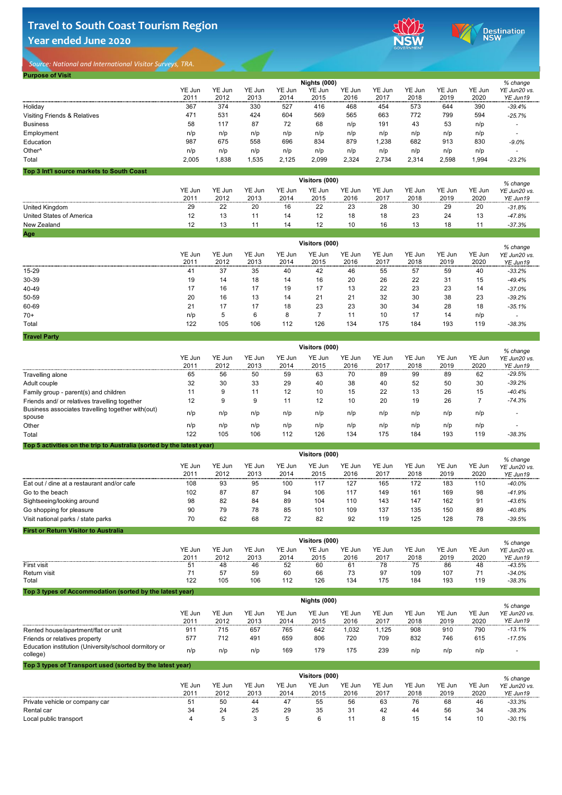# **Travel to South Coast Tourism Region Year ended June 2020**



Destination<br>NSW

*Source: National and International Visitor Surveys, TRA.* 

| <b>Purpose of Visit</b>                   |        |        |        |        |                     |        |        |        |        |        |              |
|-------------------------------------------|--------|--------|--------|--------|---------------------|--------|--------|--------|--------|--------|--------------|
|                                           |        |        |        |        | <b>Nights (000)</b> |        |        |        |        |        | % change     |
|                                           | YE Jun | YE Jun | YE Jun | YE Jun | YE Jun              | YE Jun | YE Jun | YE Jun | YE Jun | YE Jun | YE Jun20 vs. |
|                                           | 2011   | 2012   | 2013   | 2014   | 2015                | 2016   | 2017   | 2018   | 2019   | 2020   | YE Jun19     |
| Holiday                                   | 367    | 374    | 330    | 527    | 416                 | 468    | 454    | 573    | 644    | 390    | $-39.4%$     |
| <b>Visiting Friends &amp; Relatives</b>   | 471    | 531    | 424    | 604    | 569                 | 565    | 663    | 772    | 799    | 594    | $-25.7%$     |
| <b>Business</b>                           | 58     | 117    | 87     | 72     | 68                  | n/p    | 191    | 43     | 53     | n/p    |              |
| Employment                                | n/p    | n/p    | n/p    | n/p    | n/p                 | n/p    | n/p    | n/p    | n/p    | n/p    |              |
| Education                                 | 987    | 675    | 558    | 696    | 834                 | 879    | 1,238  | 682    | 913    | 830    | $-9.0\%$     |
| Other <sup>^</sup>                        | n/p    | n/p    | n/p    | n/p    | n/p                 | n/p    | n/p    | n/p    | n/p    | n/p    |              |
| <b>Total</b>                              | 2,005  | ,838   | 1,535  | 2,125  | 2,099               | 2,324  | 2,734  | 2,314  | 2,598  | ,994   | $-23.2%$     |
| Top 3 Int'l source markets to South Coast |        |        |        |        |                     |        |        |        |        |        |              |

|                                 | Visitors (000) |                |                |                |                |                |                |                |                |                |                          |  |
|---------------------------------|----------------|----------------|----------------|----------------|----------------|----------------|----------------|----------------|----------------|----------------|--------------------------|--|
|                                 | YE Jun<br>2011 | YE Jun<br>2012 | YE Jun<br>2013 | YE Jun<br>2014 | YE Jun<br>2015 | YE Jun<br>2016 | YE Jun<br>2017 | YE Jun<br>2018 | YE Jun<br>2019 | YE Jun<br>2020 | YE Jun20 vs.<br>YE Jun19 |  |
| United Kingdom                  | 29             | 22             | 20             | 16             | 22             | 23             | 28             | 30             | 29             | 20             | $-31.8%$                 |  |
| <b>United States of America</b> | 12             | 13             |                | 14             | 12             | 18             | 18             | 23             | 24             | 13             | $-47.8%$                 |  |
| <b>New Zealand</b>              | 12             | 13             |                | 14             | 12             | 10             | 16             | 13             | 18             |                | $-37.3%$                 |  |
| Age                             |                |                |                |                |                |                |                |                |                |                |                          |  |

|              | Visitors (000) |                       |                |                |                |                |                |                |                |                |                                      |  |  |
|--------------|----------------|-----------------------|----------------|----------------|----------------|----------------|----------------|----------------|----------------|----------------|--------------------------------------|--|--|
|              | YE Jun<br>2011 | <b>YE Jun</b><br>2012 | YE Jun<br>2013 | YE Jun<br>2014 | YE Jun<br>2015 | YE Jun<br>2016 | YE Jun<br>2017 | YE Jun<br>2018 | YE Jun<br>2019 | YE Jun<br>2020 | % change<br>YE Jun20 vs.<br>YE Jun19 |  |  |
| 15-29        | 41             | 37                    | 35             | 40             | 42             | 46             | 55             | 57             | 59             | 40             | $-33.2%$                             |  |  |
| 30-39        | 19             | 14                    | 18             | 14             | 16             | 20             | 26             | 22             | 31             | 15             | $-49.4%$                             |  |  |
| 40-49        | 17             | 16                    | 17             | 19             | 17             | 13             | 22             | 23             | 23             | 14             | $-37.0%$                             |  |  |
| 50-59        | 20             | 16                    | 13             | 14             | 21             | 21             | 32             | 30             | 38             | 23             | $-39.2%$                             |  |  |
| 60-69        | 21             | 17                    | 17             | 18             | 23             | 23             | 30             | 34             | 28             | 18             | $-35.1%$                             |  |  |
| $70+$        | n/p            | $5\overline{)}$       | 6              | 8              |                | 11             | 10             | 17             | 14             | n/p            |                                      |  |  |
| <b>Total</b> | 122            | 105                   | 106            | 112            | 126            | 134            | 175            | 184            | 193            | 119            | $-38.3%$                             |  |  |

| <b>Travel Party</b> |  |
|---------------------|--|
|                     |  |

| <b>Travel Party</b>                                                   |                |                       |                |                |                       |                |                |                |                |                |                                      |
|-----------------------------------------------------------------------|----------------|-----------------------|----------------|----------------|-----------------------|----------------|----------------|----------------|----------------|----------------|--------------------------------------|
|                                                                       |                |                       |                |                | <b>Visitors (000)</b> |                |                |                |                |                | % change                             |
|                                                                       | YE Jun         | <b>YE Jun</b>         | YE Jun         | YE Jun         | <b>YE Jun</b>         | YE Jun         | YE Jun         | YE Jun         | <b>YE Jun</b>  | YE Jun         | YE Jun20 vs.                         |
|                                                                       | 2011           | 2012                  | 2013           | 2014           | 2015                  | 2016           | 2017           | 2018           | 2019           | 2020           | YE Jun19                             |
| <b>Travelling alone</b>                                               | 65             | 56                    | 50             | 59             | 63                    | 70             | 89             | 99             | 89             | 62             | $-29.5%$                             |
| Adult couple                                                          | 32             | 30                    | 33             | 29             | 40                    | 38             | 40             | 52             | 50             | 30             | $-39.2%$                             |
| Family group - parent(s) and children                                 | 11             | 9                     | 11             | 12             | 10                    | 15             | 22             | 13             | 26             | 15             | $-40.4%$                             |
| Friends and/ or relatives travelling together                         | 12             | 9                     | 9              | 11             | 12                    | 10             | 20             | 19             | 26             | $\overline{7}$ | $-74.3%$                             |
| Business associates travelling together with (out)<br>spouse          | n/p            | n/p                   | n/p            | n/p            | n/p                   | n/p            | n/p            | n/p            | n/p            | n/p            |                                      |
| Other                                                                 | n/p            | n/p                   | n/p            | n/p            | n/p                   | n/p            | n/p            | n/p            | n/p            | n/p            |                                      |
| Total                                                                 | 122            | 105                   | 106            | 112            | 126                   | 134            | 175            | 184            | 193            | 119            | $-38.3%$                             |
| Top 5 activities on the trip to Australia (sorted by the latest year) |                |                       |                |                |                       |                |                |                |                |                |                                      |
|                                                                       |                |                       |                |                | Visitors (000)        |                |                |                |                |                |                                      |
|                                                                       | YE Jun<br>2011 | <b>YE Jun</b><br>2012 | YE Jun<br>2013 | YE Jun<br>2014 | YE Jun<br>2015        | YE Jun<br>2016 | YE Jun<br>2017 | YE Jun<br>2018 | YE Jun<br>2019 | YE Jun<br>2020 | % change<br>YE Jun20 vs.<br>YE Jun19 |
| Eat out / dine at a restaurant and/or cafe                            | 108            | 93                    | 95             | 100            | 117                   | 127            | 165            | 172            | 183            | 110            | $-40.0\%$                            |
| Go to the beach                                                       | 102            | 87                    | 87             | 94             | 106                   | 117            | 149            | 161            | 169            | 98             | $-41.9%$                             |
| Sightseeing/looking around                                            | 98             | 82                    | 84             | 89             | 104                   | 110            | 143            | 147            | 162            | 91             | $-43.6%$                             |
| Go shopping for pleasure                                              | 90             | 79                    | 78             | 85             | 101                   | 109            | 137            | 135            | 150            | 89             | $-40.8%$                             |
| Visit national parks / state parks                                    | 70             | 62                    | 68             | 72             | 82                    | 92             | 119            | 125            | 128            | 78             | $-39.5%$                             |
| <b>First or Return Visitor to Australia</b>                           |                |                       |                |                |                       |                |                |                |                |                |                                      |
|                                                                       |                |                       |                |                | Visitors (000)        |                |                |                |                |                | % change                             |
|                                                                       | YE Jun         | <b>YE Jun</b>         | YE Jun         | YE Jun         | YE Jun                | YE Jun         | YE Jun         | <b>YE Jun</b>  | YE Jun         | YE Jun         | YE Jun20 vs.                         |
|                                                                       | 2011           | 2012                  | 2013           | 2014           | 2015                  | 2016           | 2017           | 2018           | 2019           | 2020           | YE Jun19                             |
| <b>First visit</b>                                                    | 51             | 48                    | 46             | 52             | 60                    | 61             | 78             | 75             | 86             | 48             | $-43.5%$                             |
| <b>Return visit</b>                                                   | 71             | 57                    | 59             | 60             | 66                    | 73             | 97             | 109            | 107            | 71             | $-34.0%$                             |
| Total                                                                 | 122            | 105                   | 106            | 112            | 126                   | 134            | 175            | 184            | 193            | 119            | $-38.3%$                             |
| Top 3 types of Accommodation (sorted by the latest year)              |                |                       |                |                |                       |                |                |                |                |                |                                      |
|                                                                       |                |                       |                |                | <b>Nights (000)</b>   |                |                |                |                |                | % change                             |
|                                                                       | YE Jun         | <b>YE Jun</b>         | YE Jun         | <b>YE Jun</b>  | <b>YE Jun</b>         | <b>YE Jun</b>  | YE Jun         | YE Jun         | YE Jun         | YE Jun         | YE Jun20 vs.                         |
|                                                                       | 2011           | 2012                  | 2013           | 2014           | 2015                  | 2016           | 2017           | 2018           | 2019           | 2020           | YE Jun19                             |
| Rented house/apartment/flat or unit                                   | 911            | 715                   | 657            | 765            | 642                   | 1,032          | 1,125          | 908            | 910            | 790            | $-13.1%$                             |
| Friends or relatives property                                         | 577            | 712                   | 491            | 659            | 806                   | 720            | 709            | 832            | 746            | 615            | $-17.5%$                             |

Education institution (University/school dormitory or college) n/p n/p n/p 169 179 175 239 n/p n/p n/p *-*

|                                | Visitors (000) |                |                                 |                |                |                |                |                |                |                |                                      |  |  |
|--------------------------------|----------------|----------------|---------------------------------|----------------|----------------|----------------|----------------|----------------|----------------|----------------|--------------------------------------|--|--|
|                                | YE Jun<br>2011 | YE Jun<br>2012 | YF.<br><sub>–</sub> Jun<br>2013 | YE Jun<br>2014 | YE Jun<br>2015 | YE Jun<br>2016 | YE Jun<br>2017 | YE Jun<br>2018 | YE Jun<br>2019 | YE Jun<br>2020 | % change<br>YE Jun20 vs.<br>YE Jun19 |  |  |
| Private vehicle or company car | 51             | 50             | 44                              | 47             | 55             | 56             | 63             | 76             | 68             | 46             | $-33.3%$                             |  |  |
| <b>Rental car</b>              | 34             | 24             | 25                              | 29             | 35             | 31             | 42             | 44             | 56             | 34             | $-38.3%$                             |  |  |
| Local public transport         |                |                |                                 | $\mathcal{D}$  |                |                |                | 15             | 14             | 10             | $-30.1%$                             |  |  |